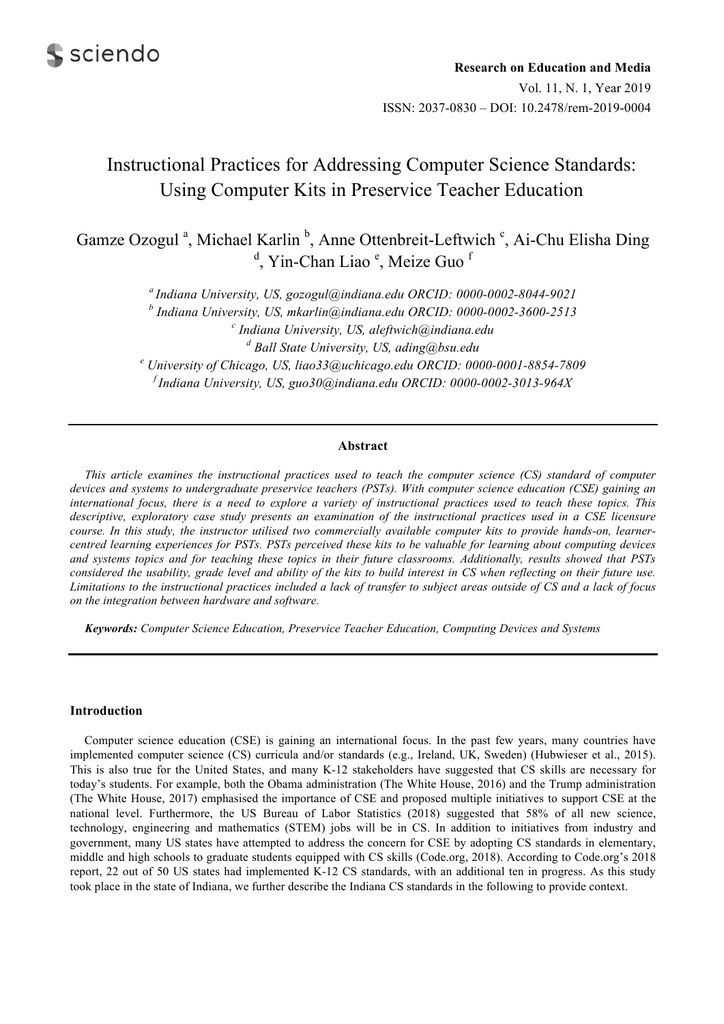

Gamze Ozogul<sup>a</sup>, Michael Karlin<sup>b</sup>, Anne Ottenbreit-Leftwich<sup>c</sup>, Ai-Chu Elisha Ding <sup>d</sup>, Yin-Chan Liao<sup>e</sup>, Meize Guo<sup>f</sup>

> *a Indiana University, US, gozogul@indiana.edu ORCID: 0000-0002-8044-9021*  <sup>*b*</sup> Indiana University, US, mkarlin@indiana.edu ORCID: 0000-0002-3600-2513<br><sup>c</sup> Indiana University, US, aleftwick@indiana.edu  *Indiana University, US, aleftwich@indiana.edu*  <sup>*d*</sup> Ball State University, US, ading@bsu.edu<br><sup>e</sup> University of Chiesae, US, lise??@uchiesae.edu OBCID: 000  *University of Chicago, US, liao33@uchicago.edu ORCID: 0000-0001-8854-7809 f Indiana University, US, guo30@indiana.edu ORCID: 0000-0002-3013-964X*

# **Abstract**

*This article examines the instructional practices used to teach the computer science (CS) standard of computer devices and systems to undergraduate preservice teachers (PSTs). With computer science education (CSE) gaining an international focus, there is a need to explore a variety of instructional practices used to teach these topics. This*  descriptive, exploratory case study presents an examination of the instructional practices used in a CSE licensure *course. In this study, the instructor utilised two commercially available computer kits to provide hands-on, learnercentred learning experiences for PSTs. PSTs perceived these kits to be valuable for learning about computing devices and systems topics and for teaching these topics in their future classrooms. Additionally, results showed that PSTs considered the usability, grade level and ability of the kits to build interest in CS when reflecting on their future use. Limitations to the instructional practices included a lack of transfer to subject areas outside of CS and a lack of focus on the integration between hardware and software.* 

*Keywords: Computer Science Education, Preservice Teacher Education, Computing Devices and Systems* 

# **Introduction**

Computer science education (CSE) is gaining an international focus. In the past few years, many countries have implemented computer science (CS) curricula and/or standards (e.g., Ireland, UK, Sweden) (Hubwieser et al., 2015). This is also true for the United States, and many K-12 stakeholders have suggested that CS skills are necessary for today's students. For example, both the Obama administration (The White House, 2016) and the Trump administration (The White House, 2017) emphasised the importance of CSE and proposed multiple initiatives to support CSE at the national level. Furthermore, the US Bureau of Labor Statistics (2018) suggested that 58% of all new science, technology, engineering and mathematics (STEM) jobs will be in CS. In addition to initiatives from industry and government, many US states have attempted to address the concern for CSE by adopting CS standards in elementary, middle and high schools to graduate students equipped with CS skills (Code.org, 2018). According to Code.org's 2018 report, 22 out of 50 US states had implemented K-12 CS standards, with an additional ten in progress. As this study took place in the state of Indiana, we further describe the Indiana CS standards in the following to provide context.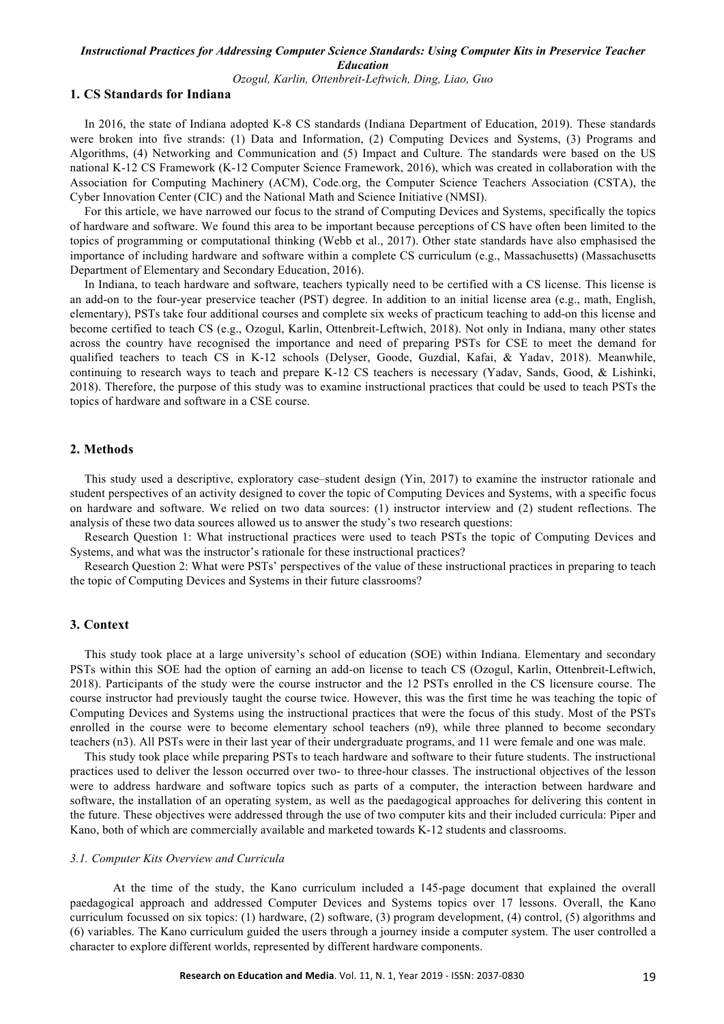*Ozogul, Karlin, Ottenbreit-Leftwich, Ding, Liao, Guo* 

#### **1. CS Standards for Indiana**

In 2016, the state of Indiana adopted K-8 CS standards (Indiana Department of Education, 2019). These standards were broken into five strands: (1) Data and Information, (2) Computing Devices and Systems, (3) Programs and Algorithms, (4) Networking and Communication and (5) Impact and Culture. The standards were based on the US national K-12 CS Framework (K-12 Computer Science Framework, 2016), which was created in collaboration with the Association for Computing Machinery (ACM), Code.org, the Computer Science Teachers Association (CSTA), the Cyber Innovation Center (CIC) and the National Math and Science Initiative (NMSI).

For this article, we have narrowed our focus to the strand of Computing Devices and Systems, specifically the topics of hardware and software. We found this area to be important because perceptions of CS have often been limited to the topics of programming or computational thinking (Webb et al., 2017). Other state standards have also emphasised the importance of including hardware and software within a complete CS curriculum (e.g., Massachusetts) (Massachusetts Department of Elementary and Secondary Education, 2016).

In Indiana, to teach hardware and software, teachers typically need to be certified with a CS license. This license is an add-on to the four-year preservice teacher (PST) degree. In addition to an initial license area (e.g., math, English, elementary), PSTs take four additional courses and complete six weeks of practicum teaching to add-on this license and become certified to teach CS (e.g., Ozogul, Karlin, Ottenbreit-Leftwich, 2018). Not only in Indiana, many other states across the country have recognised the importance and need of preparing PSTs for CSE to meet the demand for qualified teachers to teach CS in K-12 schools (Delyser, Goode, Guzdial, Kafai, & Yadav, 2018). Meanwhile, continuing to research ways to teach and prepare K-12 CS teachers is necessary (Yadav, Sands, Good, & Lishinki, 2018). Therefore, the purpose of this study was to examine instructional practices that could be used to teach PSTs the topics of hardware and software in a CSE course.

# **2. Methods**

This study used a descriptive, exploratory case–student design (Yin, 2017) to examine the instructor rationale and student perspectives of an activity designed to cover the topic of Computing Devices and Systems, with a specific focus on hardware and software. We relied on two data sources: (1) instructor interview and (2) student reflections. The analysis of these two data sources allowed us to answer the study's two research questions:

Research Question 1: What instructional practices were used to teach PSTs the topic of Computing Devices and Systems, and what was the instructor's rationale for these instructional practices?

Research Question 2: What were PSTs' perspectives of the value of these instructional practices in preparing to teach the topic of Computing Devices and Systems in their future classrooms?

# **3. Context**

This study took place at a large university's school of education (SOE) within Indiana. Elementary and secondary PSTs within this SOE had the option of earning an add-on license to teach CS (Ozogul, Karlin, Ottenbreit-Leftwich, 2018). Participants of the study were the course instructor and the 12 PSTs enrolled in the CS licensure course. The course instructor had previously taught the course twice. However, this was the first time he was teaching the topic of Computing Devices and Systems using the instructional practices that were the focus of this study. Most of the PSTs enrolled in the course were to become elementary school teachers (n9), while three planned to become secondary teachers (n3). All PSTs were in their last year of their undergraduate programs, and 11 were female and one was male.

This study took place while preparing PSTs to teach hardware and software to their future students. The instructional practices used to deliver the lesson occurred over two- to three-hour classes. The instructional objectives of the lesson were to address hardware and software topics such as parts of a computer, the interaction between hardware and software, the installation of an operating system, as well as the paedagogical approaches for delivering this content in the future. These objectives were addressed through the use of two computer kits and their included curricula: Piper and Kano, both of which are commercially available and marketed towards K-12 students and classrooms.

#### *3.1. Computer Kits Overview and Curricula*

At the time of the study, the Kano curriculum included a 145-page document that explained the overall paedagogical approach and addressed Computer Devices and Systems topics over 17 lessons. Overall, the Kano curriculum focussed on six topics: (1) hardware, (2) software, (3) program development, (4) control, (5) algorithms and (6) variables. The Kano curriculum guided the users through a journey inside a computer system. The user controlled a character to explore different worlds, represented by different hardware components.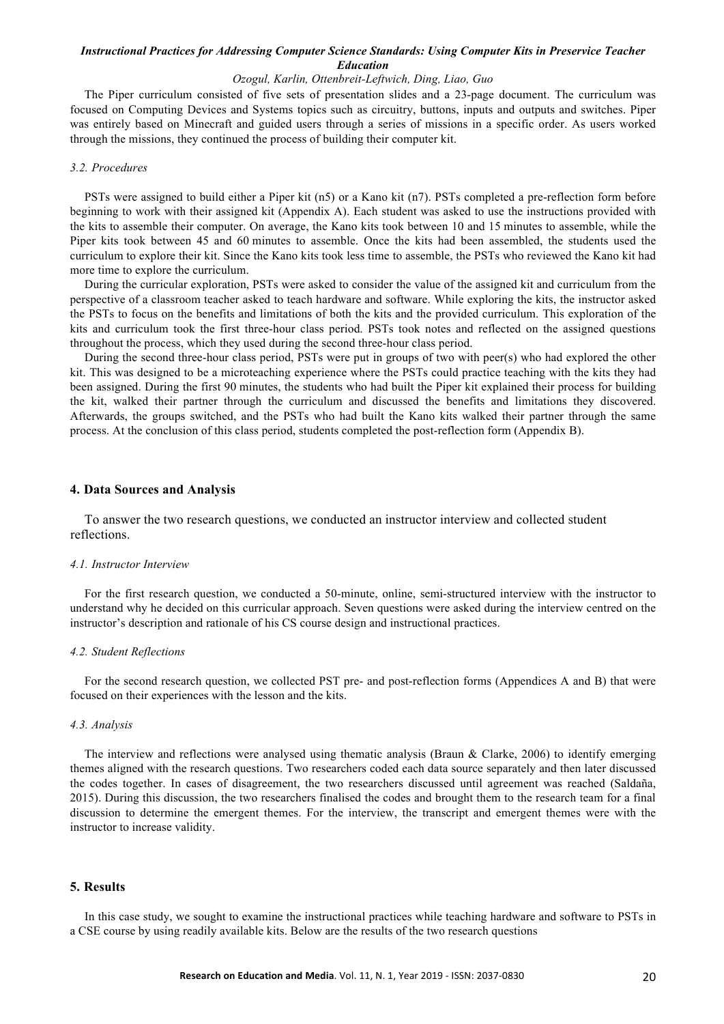## *Ozogul, Karlin, Ottenbreit-Leftwich, Ding, Liao, Guo*

The Piper curriculum consisted of five sets of presentation slides and a 23-page document. The curriculum was focused on Computing Devices and Systems topics such as circuitry, buttons, inputs and outputs and switches. Piper was entirely based on Minecraft and guided users through a series of missions in a specific order. As users worked through the missions, they continued the process of building their computer kit.

# *3.2. Procedures*

PSTs were assigned to build either a Piper kit (n5) or a Kano kit (n7). PSTs completed a pre-reflection form before beginning to work with their assigned kit (Appendix A). Each student was asked to use the instructions provided with the kits to assemble their computer. On average, the Kano kits took between 10 and 15 minutes to assemble, while the Piper kits took between 45 and 60 minutes to assemble. Once the kits had been assembled, the students used the curriculum to explore their kit. Since the Kano kits took less time to assemble, the PSTs who reviewed the Kano kit had more time to explore the curriculum.

During the curricular exploration, PSTs were asked to consider the value of the assigned kit and curriculum from the perspective of a classroom teacher asked to teach hardware and software. While exploring the kits, the instructor asked the PSTs to focus on the benefits and limitations of both the kits and the provided curriculum. This exploration of the kits and curriculum took the first three-hour class period. PSTs took notes and reflected on the assigned questions throughout the process, which they used during the second three-hour class period.

During the second three-hour class period, PSTs were put in groups of two with peer(s) who had explored the other kit. This was designed to be a microteaching experience where the PSTs could practice teaching with the kits they had been assigned. During the first 90 minutes, the students who had built the Piper kit explained their process for building the kit, walked their partner through the curriculum and discussed the benefits and limitations they discovered. Afterwards, the groups switched, and the PSTs who had built the Kano kits walked their partner through the same process. At the conclusion of this class period, students completed the post-reflection form (Appendix B).

## **4. Data Sources and Analysis**

 To answer the two research questions, we conducted an instructor interview and collected student reflections.

## *4.1. Instructor Interview*

For the first research question, we conducted a 50-minute, online, semi-structured interview with the instructor to understand why he decided on this curricular approach. Seven questions were asked during the interview centred on the instructor's description and rationale of his CS course design and instructional practices.

## *4.2. Student Reflections*

For the second research question, we collected PST pre- and post-reflection forms (Appendices A and B) that were focused on their experiences with the lesson and the kits.

## *4.3. Analysis*

The interview and reflections were analysed using thematic analysis (Braun & Clarke, 2006) to identify emerging themes aligned with the research questions. Two researchers coded each data source separately and then later discussed the codes together. In cases of disagreement, the two researchers discussed until agreement was reached (Saldaña, 2015). During this discussion, the two researchers finalised the codes and brought them to the research team for a final discussion to determine the emergent themes. For the interview, the transcript and emergent themes were with the instructor to increase validity.

## **5. Results**

In this case study, we sought to examine the instructional practices while teaching hardware and software to PSTs in a CSE course by using readily available kits. Below are the results of the two research questions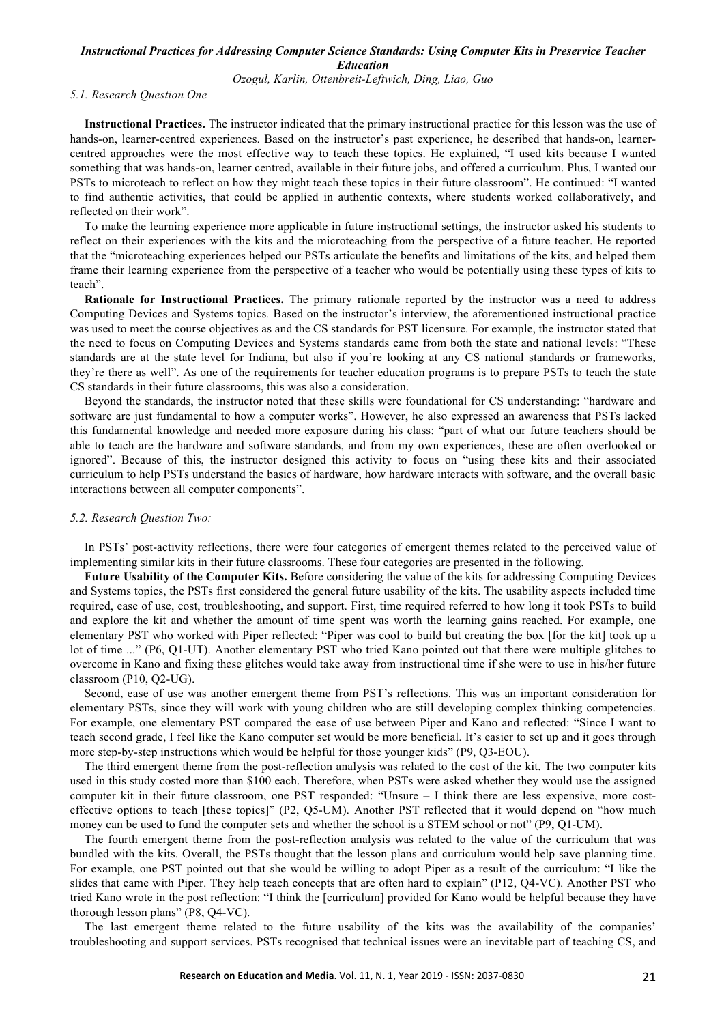*Ozogul, Karlin, Ottenbreit-Leftwich, Ding, Liao, Guo* 

## *5.1. Research Question One*

**Instructional Practices.** The instructor indicated that the primary instructional practice for this lesson was the use of hands-on, learner-centred experiences. Based on the instructor's past experience, he described that hands-on, learnercentred approaches were the most effective way to teach these topics. He explained, "I used kits because I wanted something that was hands-on, learner centred, available in their future jobs, and offered a curriculum. Plus, I wanted our PSTs to microteach to reflect on how they might teach these topics in their future classroom". He continued: "I wanted to find authentic activities, that could be applied in authentic contexts, where students worked collaboratively, and reflected on their work".

To make the learning experience more applicable in future instructional settings, the instructor asked his students to reflect on their experiences with the kits and the microteaching from the perspective of a future teacher. He reported that the "microteaching experiences helped our PSTs articulate the benefits and limitations of the kits, and helped them frame their learning experience from the perspective of a teacher who would be potentially using these types of kits to teach".

**Rationale for Instructional Practices.** The primary rationale reported by the instructor was a need to address Computing Devices and Systems topics*.* Based on the instructor's interview, the aforementioned instructional practice was used to meet the course objectives as and the CS standards for PST licensure. For example, the instructor stated that the need to focus on Computing Devices and Systems standards came from both the state and national levels: "These standards are at the state level for Indiana, but also if you're looking at any CS national standards or frameworks, they're there as well". As one of the requirements for teacher education programs is to prepare PSTs to teach the state CS standards in their future classrooms, this was also a consideration.

Beyond the standards, the instructor noted that these skills were foundational for CS understanding: "hardware and software are just fundamental to how a computer works". However, he also expressed an awareness that PSTs lacked this fundamental knowledge and needed more exposure during his class: "part of what our future teachers should be able to teach are the hardware and software standards, and from my own experiences, these are often overlooked or ignored". Because of this, the instructor designed this activity to focus on "using these kits and their associated curriculum to help PSTs understand the basics of hardware, how hardware interacts with software, and the overall basic interactions between all computer components".

### *5.2. Research Question Two:*

In PSTs' post-activity reflections, there were four categories of emergent themes related to the perceived value of implementing similar kits in their future classrooms. These four categories are presented in the following.

**Future Usability of the Computer Kits.** Before considering the value of the kits for addressing Computing Devices and Systems topics, the PSTs first considered the general future usability of the kits. The usability aspects included time required, ease of use, cost, troubleshooting, and support. First, time required referred to how long it took PSTs to build and explore the kit and whether the amount of time spent was worth the learning gains reached. For example, one elementary PST who worked with Piper reflected: "Piper was cool to build but creating the box [for the kit] took up a lot of time ..." (P6, Q1-UT). Another elementary PST who tried Kano pointed out that there were multiple glitches to overcome in Kano and fixing these glitches would take away from instructional time if she were to use in his/her future classroom (P10, Q2-UG).

Second, ease of use was another emergent theme from PST's reflections. This was an important consideration for elementary PSTs, since they will work with young children who are still developing complex thinking competencies. For example, one elementary PST compared the ease of use between Piper and Kano and reflected: "Since I want to teach second grade, I feel like the Kano computer set would be more beneficial. It's easier to set up and it goes through more step-by-step instructions which would be helpful for those younger kids" (P9, Q3-EOU).

The third emergent theme from the post-reflection analysis was related to the cost of the kit. The two computer kits used in this study costed more than \$100 each. Therefore, when PSTs were asked whether they would use the assigned computer kit in their future classroom, one PST responded: "Unsure – I think there are less expensive, more costeffective options to teach [these topics]" (P2, Q5-UM). Another PST reflected that it would depend on "how much money can be used to fund the computer sets and whether the school is a STEM school or not" (P9, Q1-UM).

The fourth emergent theme from the post-reflection analysis was related to the value of the curriculum that was bundled with the kits. Overall, the PSTs thought that the lesson plans and curriculum would help save planning time. For example, one PST pointed out that she would be willing to adopt Piper as a result of the curriculum: "I like the slides that came with Piper. They help teach concepts that are often hard to explain" (P12, Q4-VC). Another PST who tried Kano wrote in the post reflection: "I think the [curriculum] provided for Kano would be helpful because they have thorough lesson plans" (P8, Q4-VC).

The last emergent theme related to the future usability of the kits was the availability of the companies' troubleshooting and support services. PSTs recognised that technical issues were an inevitable part of teaching CS, and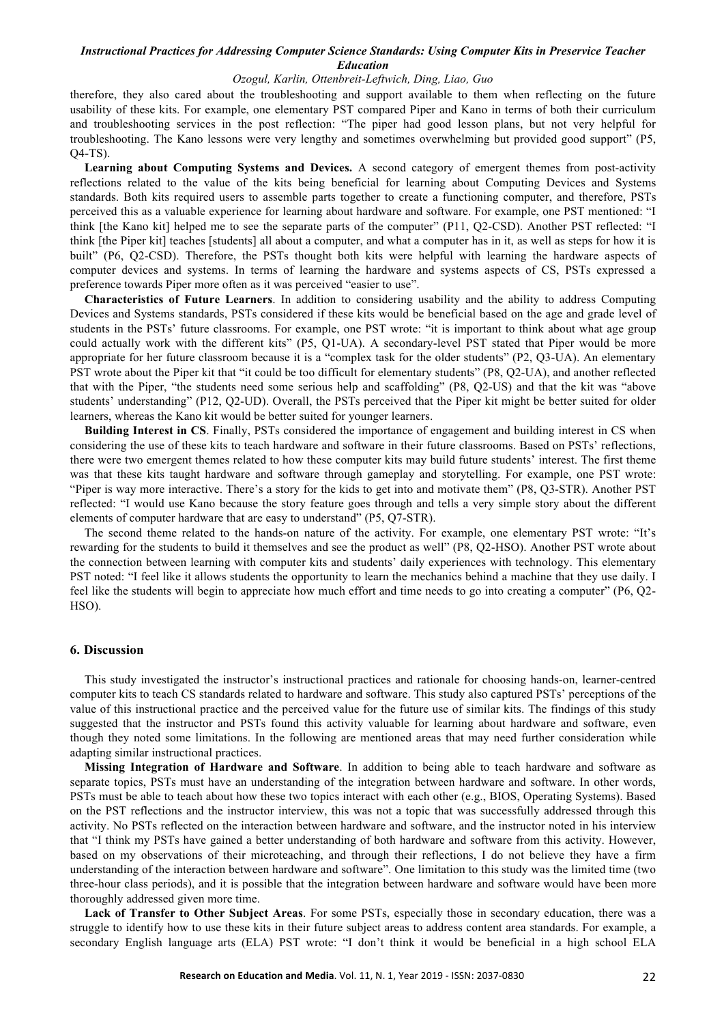## *Ozogul, Karlin, Ottenbreit-Leftwich, Ding, Liao, Guo*

therefore, they also cared about the troubleshooting and support available to them when reflecting on the future usability of these kits. For example, one elementary PST compared Piper and Kano in terms of both their curriculum and troubleshooting services in the post reflection: "The piper had good lesson plans, but not very helpful for troubleshooting. The Kano lessons were very lengthy and sometimes overwhelming but provided good support" (P5, Q4-TS).

**Learning about Computing Systems and Devices.** A second category of emergent themes from post-activity reflections related to the value of the kits being beneficial for learning about Computing Devices and Systems standards. Both kits required users to assemble parts together to create a functioning computer, and therefore, PSTs perceived this as a valuable experience for learning about hardware and software. For example, one PST mentioned: "I think [the Kano kit] helped me to see the separate parts of the computer" (P11, Q2-CSD). Another PST reflected: "I think [the Piper kit] teaches [students] all about a computer, and what a computer has in it, as well as steps for how it is built" (P6, Q2-CSD). Therefore, the PSTs thought both kits were helpful with learning the hardware aspects of computer devices and systems. In terms of learning the hardware and systems aspects of CS, PSTs expressed a preference towards Piper more often as it was perceived "easier to use".

**Characteristics of Future Learners**. In addition to considering usability and the ability to address Computing Devices and Systems standards, PSTs considered if these kits would be beneficial based on the age and grade level of students in the PSTs' future classrooms. For example, one PST wrote: "it is important to think about what age group could actually work with the different kits" (P5, Q1-UA). A secondary-level PST stated that Piper would be more appropriate for her future classroom because it is a "complex task for the older students" (P2, Q3-UA). An elementary PST wrote about the Piper kit that "it could be too difficult for elementary students" (P8, Q2-UA), and another reflected that with the Piper, "the students need some serious help and scaffolding" (P8, Q2-US) and that the kit was "above students' understanding" (P12, Q2-UD). Overall, the PSTs perceived that the Piper kit might be better suited for older learners, whereas the Kano kit would be better suited for younger learners.

**Building Interest in CS**. Finally, PSTs considered the importance of engagement and building interest in CS when considering the use of these kits to teach hardware and software in their future classrooms. Based on PSTs' reflections, there were two emergent themes related to how these computer kits may build future students' interest. The first theme was that these kits taught hardware and software through gameplay and storytelling. For example, one PST wrote: "Piper is way more interactive. There's a story for the kids to get into and motivate them" (P8, Q3-STR). Another PST reflected: "I would use Kano because the story feature goes through and tells a very simple story about the different elements of computer hardware that are easy to understand" (P5, Q7-STR).

The second theme related to the hands-on nature of the activity. For example, one elementary PST wrote: "It's rewarding for the students to build it themselves and see the product as well" (P8, Q2-HSO). Another PST wrote about the connection between learning with computer kits and students' daily experiences with technology. This elementary PST noted: "I feel like it allows students the opportunity to learn the mechanics behind a machine that they use daily. I feel like the students will begin to appreciate how much effort and time needs to go into creating a computer" (P6, Q2- HSO).

## **6. Discussion**

This study investigated the instructor's instructional practices and rationale for choosing hands-on, learner-centred computer kits to teach CS standards related to hardware and software. This study also captured PSTs' perceptions of the value of this instructional practice and the perceived value for the future use of similar kits. The findings of this study suggested that the instructor and PSTs found this activity valuable for learning about hardware and software, even though they noted some limitations. In the following are mentioned areas that may need further consideration while adapting similar instructional practices.

**Missing Integration of Hardware and Software**. In addition to being able to teach hardware and software as separate topics, PSTs must have an understanding of the integration between hardware and software. In other words, PSTs must be able to teach about how these two topics interact with each other (e.g., BIOS, Operating Systems). Based on the PST reflections and the instructor interview, this was not a topic that was successfully addressed through this activity. No PSTs reflected on the interaction between hardware and software, and the instructor noted in his interview that "I think my PSTs have gained a better understanding of both hardware and software from this activity. However, based on my observations of their microteaching, and through their reflections, I do not believe they have a firm understanding of the interaction between hardware and software". One limitation to this study was the limited time (two three-hour class periods), and it is possible that the integration between hardware and software would have been more thoroughly addressed given more time.

**Lack of Transfer to Other Subject Areas**. For some PSTs, especially those in secondary education, there was a struggle to identify how to use these kits in their future subject areas to address content area standards. For example, a secondary English language arts (ELA) PST wrote: "I don't think it would be beneficial in a high school ELA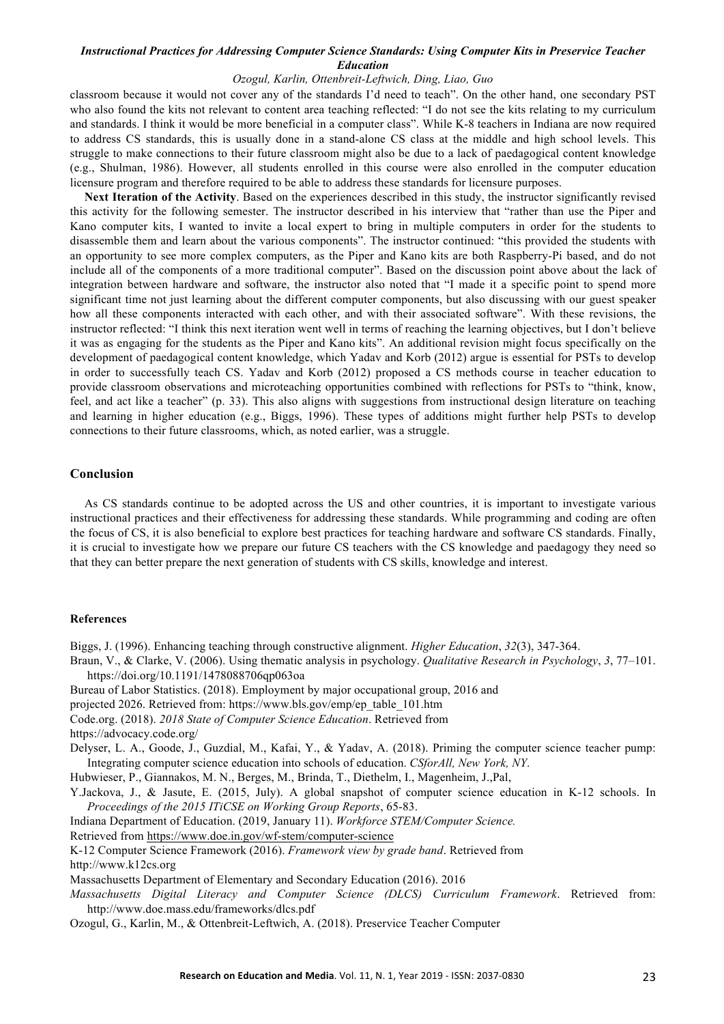## *Ozogul, Karlin, Ottenbreit-Leftwich, Ding, Liao, Guo*

classroom because it would not cover any of the standards I'd need to teach". On the other hand, one secondary PST who also found the kits not relevant to content area teaching reflected: "I do not see the kits relating to my curriculum and standards. I think it would be more beneficial in a computer class". While K-8 teachers in Indiana are now required to address CS standards, this is usually done in a stand-alone CS class at the middle and high school levels. This struggle to make connections to their future classroom might also be due to a lack of paedagogical content knowledge (e.g., Shulman, 1986). However, all students enrolled in this course were also enrolled in the computer education licensure program and therefore required to be able to address these standards for licensure purposes.

**Next Iteration of the Activity**. Based on the experiences described in this study, the instructor significantly revised this activity for the following semester. The instructor described in his interview that "rather than use the Piper and Kano computer kits, I wanted to invite a local expert to bring in multiple computers in order for the students to disassemble them and learn about the various components". The instructor continued: "this provided the students with an opportunity to see more complex computers, as the Piper and Kano kits are both Raspberry-Pi based, and do not include all of the components of a more traditional computer". Based on the discussion point above about the lack of integration between hardware and software, the instructor also noted that "I made it a specific point to spend more significant time not just learning about the different computer components, but also discussing with our guest speaker how all these components interacted with each other, and with their associated software". With these revisions, the instructor reflected: "I think this next iteration went well in terms of reaching the learning objectives, but I don't believe it was as engaging for the students as the Piper and Kano kits". An additional revision might focus specifically on the development of paedagogical content knowledge, which Yadav and Korb (2012) argue is essential for PSTs to develop in order to successfully teach CS. Yadav and Korb (2012) proposed a CS methods course in teacher education to provide classroom observations and microteaching opportunities combined with reflections for PSTs to "think, know, feel, and act like a teacher" (p. 33). This also aligns with suggestions from instructional design literature on teaching and learning in higher education (e.g., Biggs, 1996). These types of additions might further help PSTs to develop connections to their future classrooms, which, as noted earlier, was a struggle.

## **Conclusion**

As CS standards continue to be adopted across the US and other countries, it is important to investigate various instructional practices and their effectiveness for addressing these standards. While programming and coding are often the focus of CS, it is also beneficial to explore best practices for teaching hardware and software CS standards. Finally, it is crucial to investigate how we prepare our future CS teachers with the CS knowledge and paedagogy they need so that they can better prepare the next generation of students with CS skills, knowledge and interest.

#### **References**

Biggs, J. (1996). Enhancing teaching through constructive alignment. *Higher Education*, *32*(3), 347-364.

- Braun, V., & Clarke, V. (2006). Using thematic analysis in psychology. *Qualitative Research in Psychology*, *3*, 77–101. https://doi.org/10.1191/1478088706qp063oa
- Bureau of Labor Statistics. (2018). Employment by major occupational group, 2016 and
- projected 2026. Retrieved from: https://www.bls.gov/emp/ep\_table\_101.htm
- Code.org. (2018). *2018 State of Computer Science Education*. Retrieved from
- https://advocacy.code.org/

Delyser, L. A., Goode, J., Guzdial, M., Kafai, Y., & Yadav, A. (2018). Priming the computer science teacher pump: Integrating computer science education into schools of education. *CSforAll, New York, NY*.

Hubwieser, P., Giannakos, M. N., Berges, M., Brinda, T., Diethelm, I., Magenheim, J.,Pal,

Y.Jackova, J., & Jasute, E. (2015, July). A global snapshot of computer science education in K-12 schools. In *Proceedings of the 2015 ITiCSE on Working Group Reports*, 65-83.

Indiana Department of Education. (2019, January 11). *Workforce STEM/Computer Science.* 

Retrieved from https://www.doe.in.gov/wf-stem/computer-science

K-12 Computer Science Framework (2016). *Framework view by grade band*. Retrieved from

http://www.k12cs.org

Massachusetts Department of Elementary and Secondary Education (2016). 2016

- *Massachusetts Digital Literacy and Computer Science (DLCS) Curriculum Framework*. Retrieved from: http://www.doe.mass.edu/frameworks/dlcs.pdf
- Ozogul, G., Karlin, M., & Ottenbreit-Leftwich, A. (2018). Preservice Teacher Computer